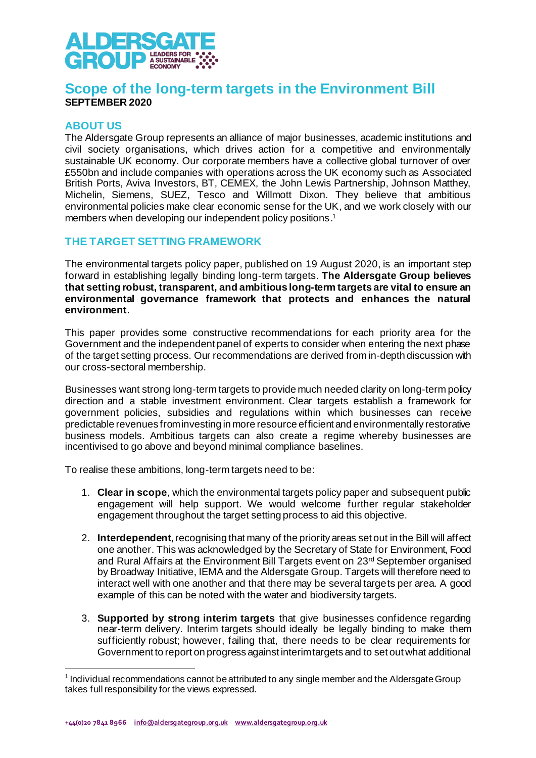

# **Scope of the long-term targets in the Environment Bill SEPTEMBER 2020**

### **ABOUT US**

The Aldersgate Group represents an alliance of major businesses, academic institutions and civil society organisations, which drives action for a competitive and environmentally sustainable UK economy. Our corporate members have a collective global turnover of over £550bn and include companies with operations across the UK economy such as Associated British Ports, Aviva Investors, BT, CEMEX, the John Lewis Partnership, Johnson Matthey, Michelin, Siemens, SUEZ, Tesco and Willmott Dixon. They believe that ambitious environmental policies make clear economic sense for the UK, and we work closely with our members when developing our independent policy positions. 1

### **THE TARGET SETTING FRAMEWORK**

The environmental targets policy paper, published on 19 August 2020, is an important step forward in establishing legally binding long-term targets. **The Aldersgate Group believes that setting robust, transparent, and ambitious long-term targets are vital to ensure an environmental governance framework that protects and enhances the natural environment**.

This paper provides some constructive recommendations for each priority area for the Government and the independent panel of experts to consider when entering the next phase of the target setting process. Our recommendations are derived from in-depth discussion with our cross-sectoral membership.

Businesses want strong long-term targets to provide much needed clarity on long-term policy direction and a stable investment environment. Clear targets establish a framework for government policies, subsidies and regulations within which businesses can receive predictable revenues from investing in more resource efficient and environmentally restorative business models. Ambitious targets can also create a regime whereby businesses are incentivised to go above and beyond minimal compliance baselines.

To realise these ambitions, long-term targets need to be:

- 1. **Clear in scope**, which the environmental targets policy paper and subsequent public engagement will help support. We would welcome further regular stakeholder engagement throughout the target setting process to aid this objective.
- 2. **Interdependent**, recognising that many of the priority areas set out in the Bill will affect one another. This was acknowledged by the Secretary of State for Environment, Food and Rural Affairs at the Environment Bill Targets event on 23rd September organised by Broadway Initiative, IEMA and the Aldersgate Group. Targets will therefore need to interact well with one another and that there may be several targets per area. A good example of this can be noted with the water and biodiversity targets.
- 3. **Supported by strong interim targets** that give businesses confidence regarding near-term delivery. Interim targets should ideally be legally binding to make them sufficiently robust; however, failing that, there needs to be clear requirements for Government to report on progress against interim targets and to set out what additional

<sup>&</sup>lt;sup>1</sup> Individual recommendations cannot be attributed to any single member and the Aldersgate Group takes full responsibility for the views expressed.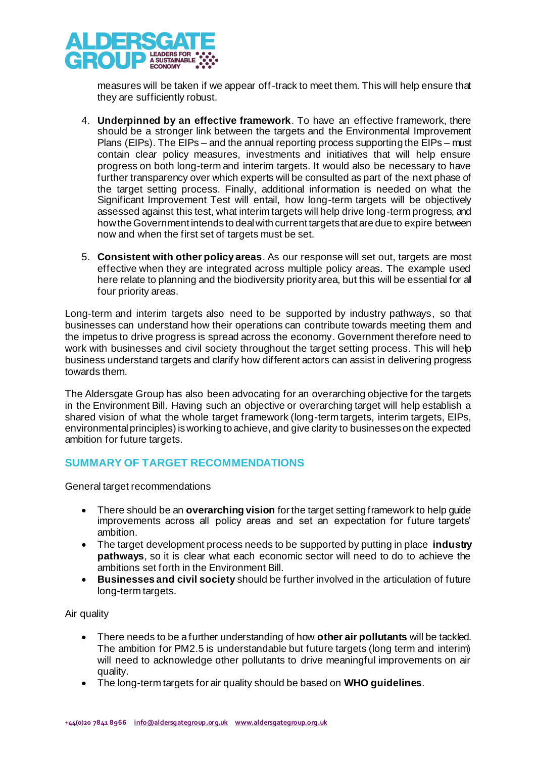

measures will be taken if we appear off-track to meet them. This will help ensure that they are sufficiently robust.

- 4. **Underpinned by an effective framework**. To have an effective framework, there should be a stronger link between the targets and the Environmental Improvement Plans (EIPs). The EIPs – and the annual reporting process supporting the EIPs – must contain clear policy measures, investments and initiatives that will help ensure progress on both long-term and interim targets. It would also be necessary to have further transparency over which experts will be consulted as part of the next phase of the target setting process. Finally, additional information is needed on what the Significant Improvement Test will entail, how long-term targets will be objectively assessed against this test, what interim targets will help drive long-term progress, and how the Government intends to deal with current targets that are due to expire between now and when the first set of targets must be set.
- 5. **Consistent with other policy areas**. As our response will set out, targets are most effective when they are integrated across multiple policy areas. The example used here relate to planning and the biodiversity priority area, but this will be essential for all four priority areas.

Long-term and interim targets also need to be supported by industry pathways, so that businesses can understand how their operations can contribute towards meeting them and the impetus to drive progress is spread across the economy. Government therefore need to work with businesses and civil society throughout the target setting process. This will help business understand targets and clarify how different actors can assist in delivering progress towards them.

The Aldersgate Group has also been advocating for an overarching objective for the targets in the Environment Bill. Having such an objective or overarching target will help establish a shared vision of what the whole target framework (long-term targets, interim targets, EIPs, environmental principles) is working to achieve, and give clarity to businesses on the expected ambition for future targets.

# **SUMMARY OF TARGET RECOMMENDATIONS**

General target recommendations

- There should be an **overarching vision** for the target setting framework to help guide improvements across all policy areas and set an expectation for future targets' ambition.
- The target development process needs to be supported by putting in place **industry pathways**, so it is clear what each economic sector will need to do to achieve the ambitions set forth in the Environment Bill.
- **Businesses and civil society** should be further involved in the articulation of future long-term targets.

Air quality

- There needs to be a further understanding of how **other air pollutants** will be tackled. The ambition for PM2.5 is understandable but future targets (long term and interim) will need to acknowledge other pollutants to drive meaningful improvements on air quality.
- The long-term targets for air quality should be based on **WHO guidelines**.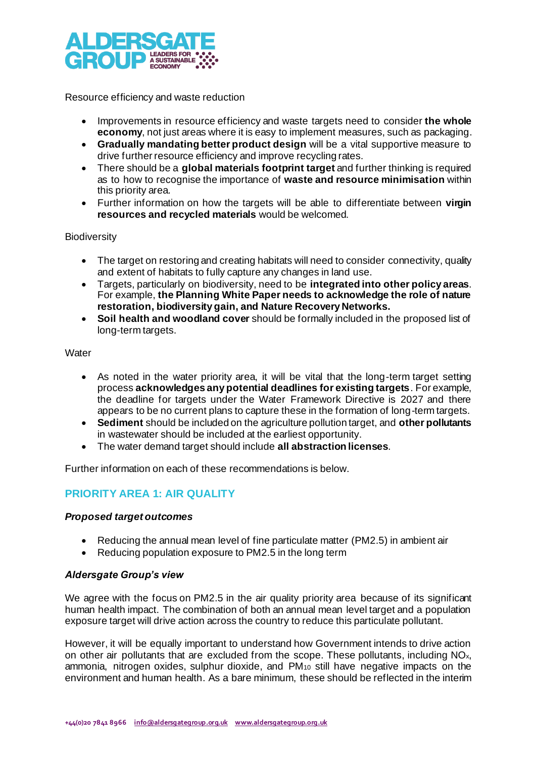

Resource efficiency and waste reduction

- Improvements in resource efficiency and waste targets need to consider **the whole economy**, not just areas where it is easy to implement measures, such as packaging.
- **Gradually mandating better product design** will be a vital supportive measure to drive further resource efficiency and improve recycling rates.
- There should be a **global materials footprint target** and further thinking is required as to how to recognise the importance of **waste and resource minimisation** within this priority area.
- Further information on how the targets will be able to differentiate between **virgin resources and recycled materials** would be welcomed.

### **Biodiversity**

- The target on restoring and creating habitats will need to consider connectivity, quality and extent of habitats to fully capture any changes in land use.
- Targets, particularly on biodiversity, need to be **integrated into other policy areas**. For example, **the Planning White Paper needs to acknowledge the role of nature restoration, biodiversity gain, and Nature Recovery Networks.**
- **Soil health and woodland cover** should be formally included in the proposed list of long-term targets.

#### **Water**

- As noted in the water priority area, it will be vital that the long-term target setting process **acknowledges any potential deadlines for existing targets**. For example, the deadline for targets under the Water Framework Directive is 2027 and there appears to be no current plans to capture these in the formation of long-term targets.
- **Sediment** should be included on the agriculture pollution target, and **other pollutants** in wastewater should be included at the earliest opportunity.
- The water demand target should include **all abstraction licenses**.

Further information on each of these recommendations is below.

# **PRIORITY AREA 1: AIR QUALITY**

### *Proposed target outcomes*

- Reducing the annual mean level of fine particulate matter (PM2.5) in ambient air
- Reducing population exposure to PM2.5 in the long term

#### *Aldersgate Group's view*

We agree with the focus on PM2.5 in the air quality priority area because of its significant human health impact. The combination of both an annual mean level target and a population exposure target will drive action across the country to reduce this particulate pollutant.

However, it will be equally important to understand how Government intends to drive action on other air pollutants that are excluded from the scope. These pollutants, including NOx, ammonia, nitrogen oxides, sulphur dioxide, and PM<sup>10</sup> still have negative impacts on the environment and human health. As a bare minimum, these should be reflected in the interim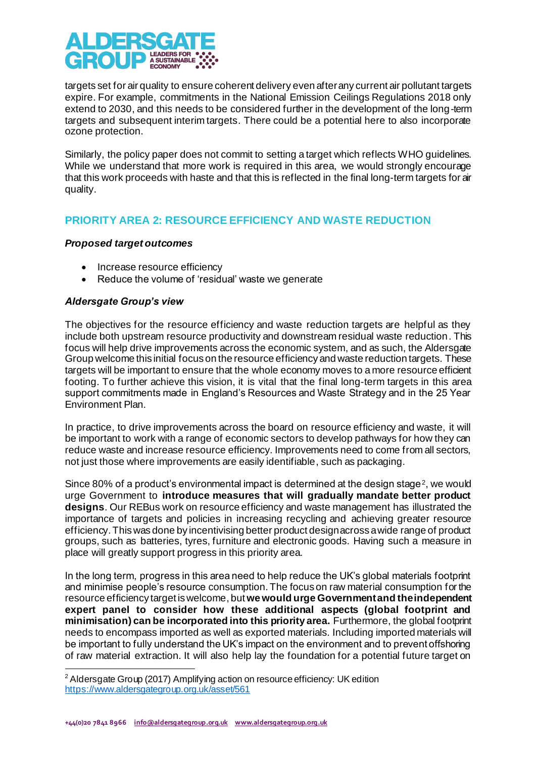

targets set for air quality to ensure coherent delivery even after any current air pollutant targets expire. For example, commitments in the National Emission Ceilings Regulations 2018 only extend to 2030, and this needs to be considered further in the development of the long-term targets and subsequent interim targets. There could be a potential here to also incorporate ozone protection.

Similarly, the policy paper does not commit to setting a target which reflects WHO guidelines. While we understand that more work is required in this area, we would strongly encourage that this work proceeds with haste and that this is reflected in the final long-term targets for air quality.

# **PRIORITY AREA 2: RESOURCE EFFICIENCY AND WASTE REDUCTION**

### *Proposed target outcomes*

- Increase resource efficiency
- Reduce the volume of 'residual' waste we generate

### *Aldersgate Group's view*

The objectives for the resource efficiency and waste reduction targets are helpful as they include both upstream resource productivity and downstream residual waste reduction. This focus will help drive improvements across the economic system, and as such, the Aldersgate Group welcome this initial focus on the resource efficiency and waste reduction targets. These targets will be important to ensure that the whole economy moves to a more resource efficient footing. To further achieve this vision, it is vital that the final long-term targets in this area support commitments made in England's Resources and Waste Strategy and in the 25 Year Environment Plan.

In practice, to drive improvements across the board on resource efficiency and waste, it will be important to work with a range of economic sectors to develop pathways for how they can reduce waste and increase resource efficiency. Improvements need to come from all sectors, not just those where improvements are easily identifiable, such as packaging.

Since 80% of a product's environmental impact is determined at the design stage<sup>2</sup>, we would urge Government to **introduce measures that will gradually mandate better product designs**. Our REBus work on resource efficiency and waste management has illustrated the importance of targets and policies in increasing recycling and achieving greater resource efficiency. This was done by incentivising better product design across a wide range of product groups, such as batteries, tyres, furniture and electronic goods. Having such a measure in place will greatly support progress in this priority area.

In the long term, progress in this area need to help reduce the UK's global materials footprint and minimise people's resource consumption.The focus on raw material consumption for the resource efficiency target is welcome, but **we would urge Governmentand the independent expert panel to consider how these additional aspects (global footprint and minimisation) can be incorporated into this priority area.** Furthermore, the global footprint needs to encompass imported as well as exported materials. Including imported materials will be important to fully understand the UK's impact on the environment and to prevent offshoring of raw material extraction. It will also help lay the foundation for a potential future target on

<sup>&</sup>lt;sup>2</sup> Aldersgate Group (2017) Amplifying action on resource efficiency: UK edition <https://www.aldersgategroup.org.uk/asset/561>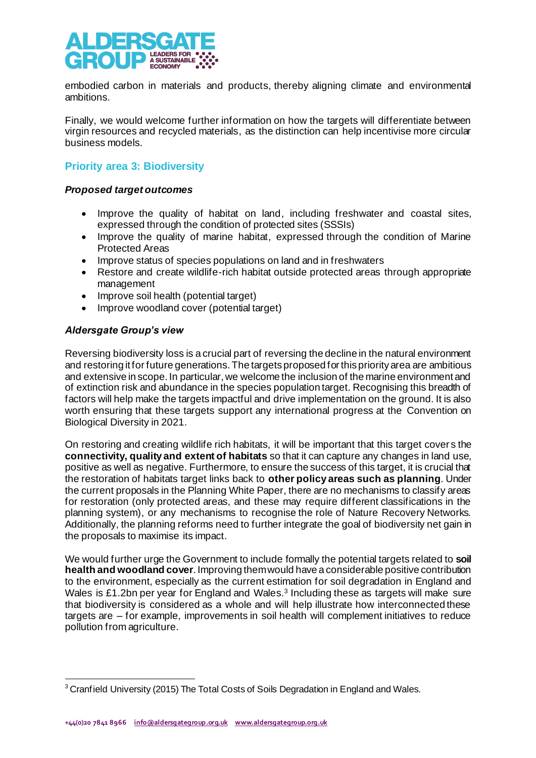

embodied carbon in materials and products, thereby aligning climate and environmental ambitions.

Finally, we would welcome further information on how the targets will differentiate between virgin resources and recycled materials, as the distinction can help incentivise more circular business models.

# **Priority area 3: Biodiversity**

### *Proposed target outcomes*

- Improve the quality of habitat on land, including freshwater and coastal sites, expressed through the condition of protected sites (SSSIs)
- Improve the quality of marine habitat, expressed through the condition of Marine Protected Areas
- Improve status of species populations on land and in freshwaters
- Restore and create wildlife-rich habitat outside protected areas through appropriate management
- Improve soil health (potential target)
- Improve woodland cover (potential target)

### *Aldersgate Group's view*

Reversing biodiversity loss is a crucial part of reversing the decline in the natural environment and restoring it for future generations. The targets proposed for this priority area are ambitious and extensive in scope. In particular, we welcome the inclusion of the marine environment and of extinction risk and abundance in the species population target. Recognising this breadth of factors will help make the targets impactful and drive implementation on the ground. It is also worth ensuring that these targets support any international progress at the Convention on Biological Diversity in 2021.

On restoring and creating wildlife rich habitats, it will be important that this target cover s the **connectivity, quality and extent of habitats** so that it can capture any changes in land use, positive as well as negative. Furthermore, to ensure the success of this target, it is crucial that the restoration of habitats target links back to **other policy areas such as planning**. Under the current proposals in the Planning White Paper, there are no mechanisms to classify areas for restoration (only protected areas, and these may require different classifications in the planning system), or any mechanisms to recognise the role of Nature Recovery Networks. Additionally, the planning reforms need to further integrate the goal of biodiversity net gain in the proposals to maximise its impact.

We would further urge the Government to include formally the potential targets related to **soil health and woodland cover**. Improving them would have a considerable positive contribution to the environment, especially as the current estimation for soil degradation in England and Wales is £1.2bn per year for England and Wales.<sup>3</sup> Including these as targets will make sure that biodiversity is considered as a whole and will help illustrate how interconnected these targets are – for example, improvements in soil health will complement initiatives to reduce pollution from agriculture.

<sup>&</sup>lt;sup>3</sup> Cranfield University (2015) The Total Costs of Soils Degradation in England and Wales.